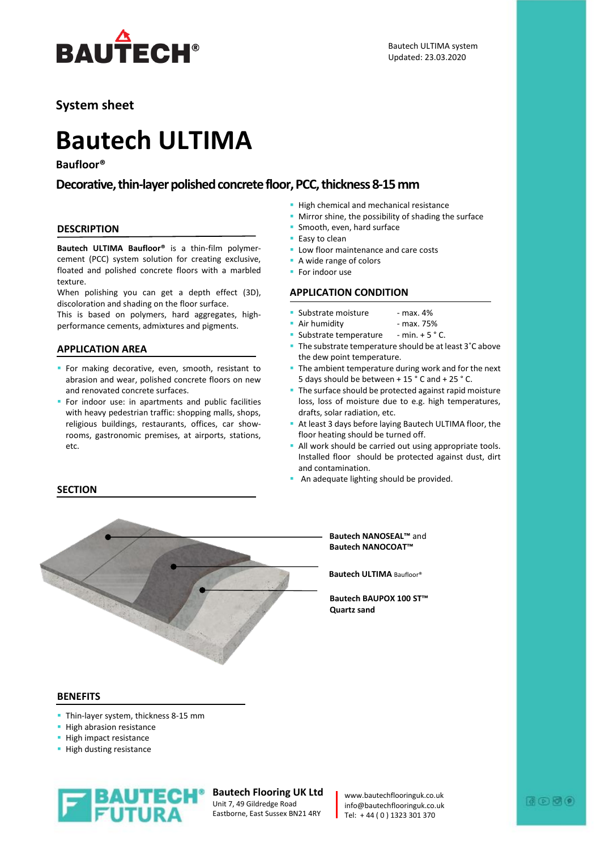

# **System sheet**

# **Bautech ULTIMA**

# **Baufloor®**

# **Decorative, thin-layer polished concrete floor, PCC, thickness 8-15 mm**

#### **DESCRIPTION**

**Bautech ULTIMA Baufloor®** is a thin-film polymercement (PCC) system solution for creating exclusive, floated and polished concrete floors with a marbled texture.

When polishing you can get a depth effect (3D), discoloration and shading on the floor surface.

This is based on polymers, hard aggregates, highperformance cements, admixtures and pigments.

## **APPLICATION AREA**

- **F** For making decorative, even, smooth, resistant to abrasion and wear, polished concrete floors on new and renovated concrete surfaces.
- For indoor use: in apartments and public facilities with heavy pedestrian traffic: shopping malls, shops, religious buildings, restaurants, offices, car showrooms, gastronomic premises, at airports, stations, etc.

#### **· High chemical and mechanical resistance**

**■** Mirror shine, the possibility of shading the surface

Bautech ULTIMA system Updated: 23.03.2020

- **·** Smooth, even, hard surface
- Easy to clean
- **E** Low floor maintenance and care costs
- A wide range of colors
- For indoor use

## **APPLICATION CONDITION**

- Substrate moisture max. 4%
- **E** Air humidity **EXALL** max. 75%
- Substrate temperature  $-$  min.  $+5$   $^{\circ}$  C.
- The substrate temperature should be at least 3°C above the dew point temperature.
- The ambient temperature during work and for the next 5 days should be between + 15 ° C and + 25 ° C.
- **The surface should be protected against rapid moisture** loss, loss of moisture due to e.g. high temperatures, drafts, solar radiation, etc.
- At least 3 days before laying Bautech ULTIMA floor, the floor heating should be turned off.
- **All work should be carried out using appropriate tools.** Installed floor should be protected against dust, dirt and contamination.
- **An adequate lighting should be provided.**



#### **Bautech NANOSEAL™** and **Bautech NANOCOAT™**

**Bautech ULTIMA** Baufloor®

**Bautech BAUPOX 100 ST™ Quartz sand** 

#### **BENEFITS**

**SECTION**

- **Thin-layer system, thickness 8-15 mm**
- **·** High abrasion resistance
- **· High impact resistance**
- **· High dusting resistance**



**Bautech Flooring UK Ltd** Unit 7, 49 Gildredge Road Eastborne, East Sussex BN21 4RY

www.bautechflooringuk.co.uk info@bautechflooringuk.co.uk Tel: + 44 ( 0 ) 1323 301 370

# $0.56$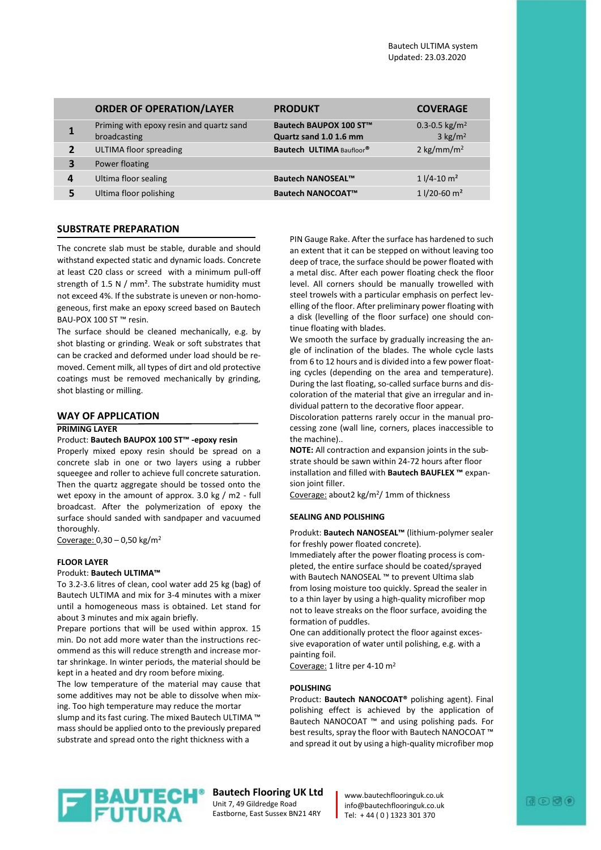|                | <b>ORDER OF OPERATION/LAYER</b>                          | <b>PRODUKT</b>                                   | <b>COVERAGE</b>                                    |
|----------------|----------------------------------------------------------|--------------------------------------------------|----------------------------------------------------|
| 1              | Priming with epoxy resin and quartz sand<br>broadcasting | Bautech BAUPOX 100 ST™<br>Quartz sand 1.0 1.6 mm | 0.3-0.5 kg/m <sup>2</sup><br>$3$ kg/m <sup>2</sup> |
| $\overline{2}$ | <b>ULTIMA floor spreading</b>                            | Bautech ULTIMA Baufloor®                         | 2 kg/mm/m <sup>2</sup>                             |
| 3              | Power floating                                           |                                                  |                                                    |
| 4              | Ultima floor sealing                                     | <b>Bautech NANOSEAL™</b>                         | $11/4 - 10 m2$                                     |
| 5              | Ultima floor polishing                                   | <b>Bautech NANOCOAT™</b>                         | 1 $1/20 - 60$ m <sup>2</sup>                       |

#### **SUBSTRATE PREPARATION**

The concrete slab must be stable, durable and should withstand expected static and dynamic loads. Concrete at least C20 class or screed with a minimum pull-off strength of 1.5 N / mm<sup>2</sup>. The substrate humidity must not exceed 4%. If the substrate is uneven or non-homogeneous, first make an epoxy screed based on Bautech BAU-POX 100 ST ™ resin.

The surface should be cleaned mechanically, e.g. by shot blasting or grinding. Weak or soft substrates that can be cracked and deformed under load should be removed. Cement milk, all types of dirt and old protective coatings must be removed mechanically by grinding, shot blasting or milling.

#### **WAY OF APPLICATION**

#### **PRIMING LAYER**

#### Product: **Bautech BAUPOX 100 ST™ -epoxy resin**

Properly mixed epoxy resin should be spread on a concrete slab in one or two layers using a rubber squeegee and roller to achieve full concrete saturation. Then the quartz aggregate should be tossed onto the wet epoxy in the amount of approx. 3.0 kg / m2 - full broadcast. After the polymerization of epoxy the surface should sanded with sandpaper and vacuumed thoroughly.

Coverage:  $0,30 - 0,50$  kg/m<sup>2</sup>

#### **FLOOR LAYER**

#### Produkt: **Bautech ULTIMA™**

To 3.2-3.6 litres of clean, cool water add 25 kg (bag) of Bautech ULTIMA and mix for 3-4 minutes with a mixer until a homogeneous mass is obtained. Let stand for about 3 minutes and mix again briefly.

Prepare portions that will be used within approx. 15 min. Do not add more water than the instructions recommend as this will reduce strength and increase mortar shrinkage. In winter periods, the material should be kept in a heated and dry room before mixing.

The low temperature of the material may cause that some additives may not be able to dissolve when mixing. Too high temperature may reduce the mortar

slump and its fast curing. The mixed Bautech ULTIMA ™ mass should be applied onto to the previously prepared substrate and spread onto the right thickness with a

PIN Gauge Rake. After the surface has hardened to such an extent that it can be stepped on without leaving too deep of trace, the surface should be power floated with a metal disc. After each power floating check the floor level. All corners should be manually trowelled with steel trowels with a particular emphasis on perfect levelling of the floor. After preliminary power floating with a disk (levelling of the floor surface) one should continue floating with blades.

We smooth the surface by gradually increasing the angle of inclination of the blades. The whole cycle lasts from 6 to 12 hours and is divided into a few power floating cycles (depending on the area and temperature). During the last floating, so-called surface burns and discoloration of the material that give an irregular and individual pattern to the decorative floor appear.

Discoloration patterns rarely occur in the manual processing zone (wall line, corners, places inaccessible to the machine)..

**NOTE:** All contraction and expansion joints in the substrate should be sawn within 24-72 hours after floor installation and filled with **Bautech BAUFLEX ™** expansion joint filler.

Coverage: about2 kg/m<sup>2</sup>/ 1mm of thickness

#### **SEALING AND POLISHING**

Produkt: **Bautech NANOSEAL™** (lithium-polymer sealer for freshly power floated concrete).

Immediately after the power floating process is completed, the entire surface should be coated/sprayed with Bautech NANOSEAL ™ to prevent Ultima slab from losing moisture too quickly. Spread the sealer in to a thin layer by using a high-quality microfiber mop not to leave streaks on the floor surface, avoiding the formation of puddles.

One can additionally protect the floor against excessive evaporation of water until polishing, e.g. with a painting foil.

Coverage: 1 litre per 4-10 m<sup>2</sup>

#### **POLISHING**

Product: **Bautech NANOCOAT®** polishing agent). Final polishing effect is achieved by the application of Bautech NANOCOAT ™ and using polishing pads. For best results, spray the floor with Bautech NANOCOAT ™ and spread it out by using a high-quality microfiber mop



#### **Bautech Flooring UK Ltd** Unit 7, 49 Gildredge Road

Eastborne, East Sussex BN21 4RY

www.bautechflooringuk.co.uk info@bautechflooringuk.co.uk Tel: + 44 ( 0 ) 1323 301 370